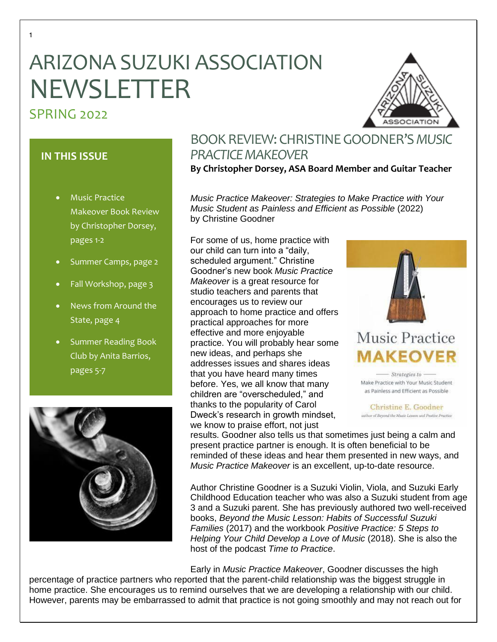# ARIZONA SUZUKI ASSOCIATION NEWSLETTER

# SPRING 2022

# **IN THIS ISSUE**

- Music Practice Makeover Book Review by Christopher Dorsey, pages 1-2
- Summer Camps, page 2
- Fall Workshop, page 3
- News from Around the State, page 4
- Summer Reading Book Club by Anita Barrios, pages 5-7



# BOOK REVIEW: CHRISTINEGOODNER'S *MUSIC PRACTICE MAKEOVER*

**By Christopher Dorsey, ASA Board Member and Guitar Teacher**

*Music Practice Makeover: Strategies to Make Practice with Your Music Student as Painless and Efficient as Possible* (2022) by Christine Goodner

For some of us, home practice with our child can turn into a "daily, scheduled argument." Christine Goodner's new book *Music Practice Makeover* is a great resource for studio teachers and parents that encourages us to review our approach to home practice and offers practical approaches for more effective and more enjoyable practice. You will probably hear some new ideas, and perhaps she addresses issues and shares ideas that you have heard many times before. Yes, we all know that many children are "overscheduled," and thanks to the popularity of Carol Dweck's research in growth mindset, we know to praise effort, not just



# **Music Practice MAKEOVER**

Strategies to -Make Practice with Your Music Student as Painless and Efficient as Possible

Christine E. Goodner author of Beyond the Music Lesson and Postive Practice

results. Goodner also tells us that sometimes just being a calm and present practice partner is enough. It is often beneficial to be reminded of these ideas and hear them presented in new ways, and *Music Practice Makeover* is an excellent, up-to-date resource.

Author Christine Goodner is a Suzuki Violin, Viola, and Suzuki Early Childhood Education teacher who was also a Suzuki student from age 3 and a Suzuki parent. She has previously authored two well-received books, *Beyond the Music Lesson: Habits of Successful Suzuki Families* (2017) and the workbook *Positive Practice: 5 Steps to Helping Your Child Develop a Love of Music* (2018). She is also the host of the podcast *Time to Practice*.

Early in *Music Practice Makeover*, Goodner discusses the high

percentage of practice partners who reported that the parent-child relationship was the biggest struggle in home practice. She encourages us to remind ourselves that we are developing a relationship with our child. However, parents may be embarrassed to admit that practice is not going smoothly and may not reach out for

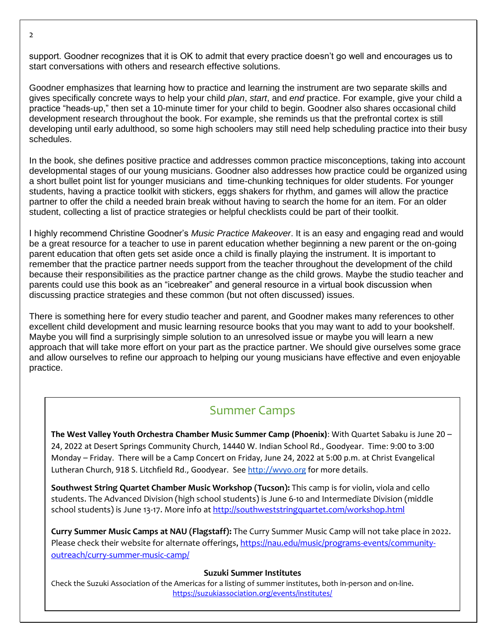support. Goodner recognizes that it is OK to admit that every practice doesn't go well and encourages us to start conversations with others and research effective solutions.

Goodner emphasizes that learning how to practice and learning the instrument are two separate skills and gives specifically concrete ways to help your child *plan*, *start*, and *end* practice. For example, give your child a practice "heads-up," then set a 10-minute timer for your child to begin. Goodner also shares occasional child development research throughout the book. For example, she reminds us that the prefrontal cortex is still developing until early adulthood, so some high schoolers may still need help scheduling practice into their busy schedules.

In the book, she defines positive practice and addresses common practice misconceptions, taking into account developmental stages of our young musicians. Goodner also addresses how practice could be organized using a short bullet point list for younger musicians and time-chunking techniques for older students. For younger students, having a practice toolkit with stickers, eggs shakers for rhythm, and games will allow the practice partner to offer the child a needed brain break without having to search the home for an item. For an older student, collecting a list of practice strategies or helpful checklists could be part of their toolkit.

I highly recommend Christine Goodner's *Music Practice Makeover*. It is an easy and engaging read and would be a great resource for a teacher to use in parent education whether beginning a new parent or the on-going parent education that often gets set aside once a child is finally playing the instrument. It is important to remember that the practice partner needs support from the teacher throughout the development of the child because their responsibilities as the practice partner change as the child grows. Maybe the studio teacher and parents could use this book as an "icebreaker" and general resource in a virtual book discussion when discussing practice strategies and these common (but not often discussed) issues.

There is something here for every studio teacher and parent, and Goodner makes many references to other excellent child development and music learning resource books that you may want to add to your bookshelf. Maybe you will find a surprisingly simple solution to an unresolved issue or maybe you will learn a new approach that will take more effort on your part as the practice partner. We should give ourselves some grace and allow ourselves to refine our approach to helping our young musicians have effective and even enjoyable practice.

# Summer Camps

**The West Valley Youth Orchestra Chamber Music Summer Camp (Phoenix)**: With Quartet Sabaku is June 20 – 24, 2022 at Desert Springs Community Church, 14440 W. Indian School Rd., Goodyear. Time: 9:00 to 3:00 Monday – Friday. There will be a Camp Concert on Friday, June 24, 2022 at 5:00 p.m. at Christ Evangelical Lutheran Church, 918 S. Litchfield Rd., Goodyear. See [http://wvyo.org](http://wvyo.org/) for more details.

**Southwest String Quartet Chamber Music Workshop (Tucson):** This camp is for violin, viola and cello students. The Advanced Division (high school students) is June 6-10 and Intermediate Division (middle school students) is June 13-17. More info a[t http://southweststringquartet.com/workshop.html](http://southweststringquartet.com/workshop.html)

**Curry Summer Music Camps at NAU (Flagstaff):** The Curry Summer Music Camp will not take place in 2022. Please check their website for alternate offerings, [https://nau.edu/music/programs-events/community](https://nau.edu/music/programs-events/community-outreach/curry-summer-music-camp/)[outreach/curry-summer-music-camp/](https://nau.edu/music/programs-events/community-outreach/curry-summer-music-camp/)

#### **Suzuki Summer Institutes**

Check the Suzuki Association of the Americas for a listing of summer institutes, both in-person and on-line. <https://suzukiassociation.org/events/institutes/>

 $\mathcal{L}$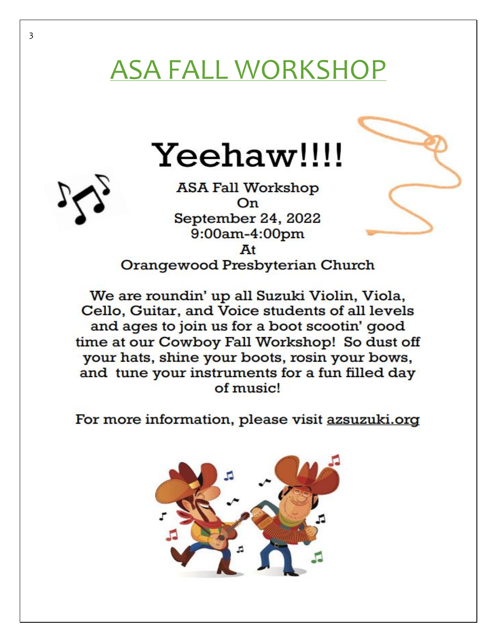# ASA FALL WORKSHOP





Orangewood Presbyterian Church

We are roundin' up all Suzuki Violin, Viola, Cello, Guitar, and Voice students of all levels and ages to join us for a boot scootin' good time at our Cowboy Fall Workshop! So dust off your hats, shine your boots, rosin your bows, and tune your instruments for a fun filled day of music!

For more information, please visit azsuzuki.org

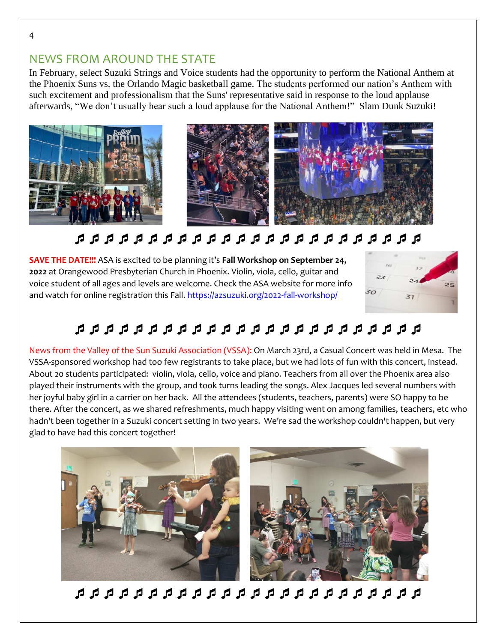### NEWS FROM AROUND THE STATE

In February, select Suzuki Strings and Voice students had the opportunity to perform the National Anthem at the Phoenix Suns vs. the Orlando Magic basketball game. The students performed our nation's Anthem with such excitement and professionalism that the Suns' representative said in response to the loud applause afterwards, "We don't usually hear such a loud applause for the National Anthem!" Slam Dunk Suzuki!



# 

**SAVE THE DATE!!!** ASA is excited to be planning it's **Fall Workshop on September 24, 2022** at Orangewood Presbyterian Church in Phoenix. Violin, viola, cello, guitar and voice student of all ages and levels are welcome. Check the ASA website for more info and watch for online registration this Fall. <https://azsuzuki.org/2022-fall-workshop/>



# 

News from the Valley of the Sun Suzuki Association (VSSA): On March 23rd, a Casual Concert was held in Mesa. The VSSA-sponsored workshop had too few registrants to take place, but we had lots of fun with this concert, instead. About 20 students participated: violin, viola, cello, voice and piano. Teachers from all over the Phoenix area also played their instruments with the group, and took turns leading the songs. Alex Jacques led several numbers with her joyful baby girl in a carrier on her back. All the attendees (students, teachers, parents) were SO happy to be there. After the concert, as we shared refreshments, much happy visiting went on among families, teachers, etc who hadn't been together in a Suzuki concert setting in two years. We're sad the workshop couldn't happen, but very glad to have had this concert together!

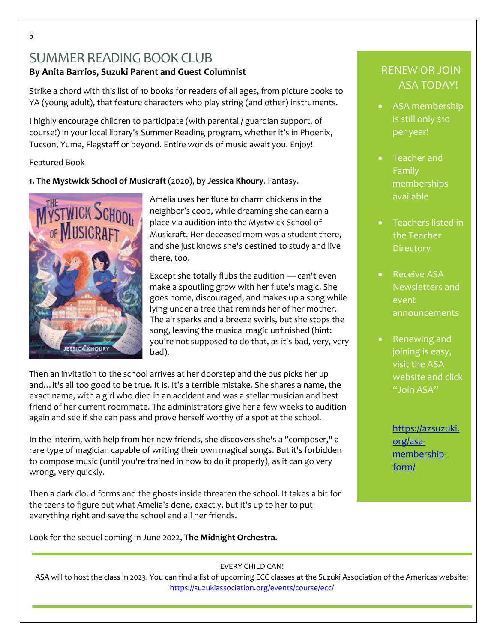# SUMMER READING BOOK CLUB **By Anita Barrios, Suzuki Parent and Guest Columnist**

Strike a chord with this list of 10 books for readers of all ages, from picture books to YA (young adult), that feature characters who play string (and other) instruments.

I highly encourage children to participate (with parental / guardian support, of course!) in your local library's Summer Reading program, whether it's in Phoenix, Tucson, Yuma, Flagstaff or beyond. Entire worlds of music await you. Enjoy!

#### Featured Book

**1. The Mystwick School of Musicraft** (2020), by **Jessica Khoury**. Fantasy.



Amelia uses her flute to charm chickens in the neighbor's coop, while dreaming she can earn a place via audition into the Mystwick School of Musicraft. Her deceased mom was a student there, and she just knows she's destined to study and live there, too.

Except she totally flubs the audition — can't even make a spoutling grow with her flute's magic. She goes home, discouraged, and makes up a song while lying under a tree that reminds her of her mother. The air sparks and a breeze swirls, but she stops the song, leaving the musical magic unfinished (hint: you're not supposed to do that, as it's bad, very, very bad).

Then an invitation to the school arrives at her doorstep and the bus picks her up and…it's all too good to be true. It is. It's a terrible mistake. She shares a name, the exact name, with a girl who died in an accident and was a stellar musician and best friend of her current roommate. The administrators give her a few weeks to audition again and see if she can pass and prove herself worthy of a spot at the school.

In the interim, with help from her new friends, she discovers she's a "composer," a rare type of magician capable of writing their own magical songs. But it's forbidden to compose music (until you're trained in how to do it properly), as it can go very wrong, very quickly.

Then a dark cloud forms and the ghosts inside threaten the school. It takes a bit for the teens to figure out what Amelia's done, exactly, but it's up to her to put everything right and save the school and all her friends.

Look for the sequel coming in June 2022, **The Midnight Orchestra**.

### RENEW OR JOIN ASA TODAY!

- ASA membership is still only \$10 per year!
- Teacher and Family memberships available
- Teachers listed in the Teacher **Directory**
- Receive ASA Newsletters and event announcements
- Renewing and joining is easy, visit the ASA website and click "Join ASA"

[https://azsuzuki.](https://azsuzuki.org/asa-membership-form/) [org/asa](https://azsuzuki.org/asa-membership-form/)[membership](https://azsuzuki.org/asa-membership-form/)[form/](https://azsuzuki.org/asa-membership-form/)

EVERY CHILD CAN!

ASA will to host the class in 2023. You can find a list of upcoming ECC classes at the Suzuki Association of the Americas website: <https://suzukiassociation.org/events/course/ecc/>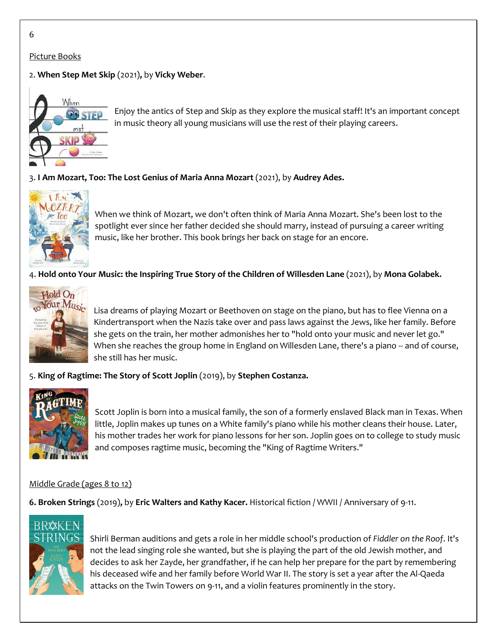#### Picture Books

#### 2. **When Step Met Skip** (2021)**,** by **Vicky Weber**.



Enjoy the antics of Step and Skip as they explore the musical staff! It's an important concept in music theory all young musicians will use the rest of their playing careers.

#### 3. **I Am Mozart, Too: The Lost Genius of Maria Anna Mozart** (2021), by **Audrey Ades.**



When we think of Mozart, we don't often think of Maria Anna Mozart. She's been lost to the spotlight ever since her father decided she should marry, instead of pursuing a career writing music, like her brother. This book brings her back on stage for an encore.

4. **Hold onto Your Music: the Inspiring True Story of the Children of Willesden Lane** (2021), by **Mona Golabek.**



Lisa dreams of playing Mozart or Beethoven on stage on the piano, but has to flee Vienna on a Kindertransport when the Nazis take over and pass laws against the Jews, like her family. Before she gets on the train, her mother admonishes her to "hold onto your music and never let go." When she reaches the group home in England on Willesden Lane, there's a piano -- and of course, she still has her music.

#### 5. **King of Ragtime: The Story of Scott Joplin** (2019), by **Stephen Costanza.**



Scott Joplin is born into a musical family, the son of a formerly enslaved Black man in Texas. When little, Joplin makes up tunes on a White family's piano while his mother cleans their house. Later, his mother trades her work for piano lessons for her son. Joplin goes on to college to study music and composes ragtime music, becoming the "King of Ragtime Writers."

#### Middle Grade (ages 8 to 12)

**6. Broken Strings** (2019)**,** by **Eric Walters and Kathy Kacer.** Historical fiction / WWII / Anniversary of 9-11.



Shirli Berman auditions and gets a role in her middle school's production of *Fiddler on the Roof*. It's not the lead singing role she wanted, but she is playing the part of the old Jewish mother, and decides to ask her Zayde, her grandfather, if he can help her prepare for the part by remembering his deceased wife and her family before World War II. The story is set a year after the Al-Qaeda attacks on the Twin Towers on 9-11, and a violin features prominently in the story.